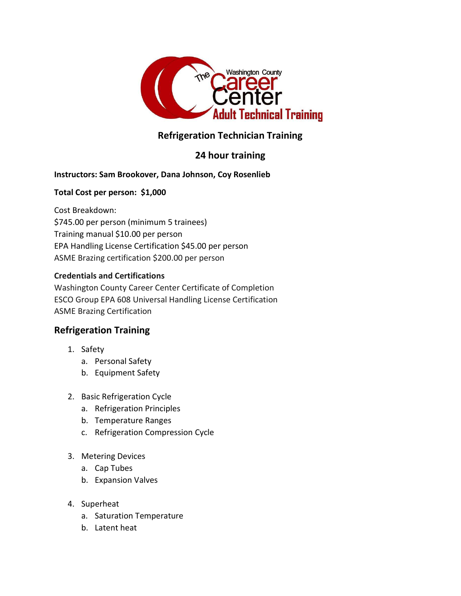

# Refrigeration Technician Training

## 24 hour training

#### Instructors: Sam Brookover, Dana Johnson, Coy Rosenlieb

#### Total Cost per person: \$1,000

Cost Breakdown: \$745.00 per person (minimum 5 trainees) Training manual \$10.00 per person EPA Handling License Certification \$45.00 per person ASME Brazing certification \$200.00 per person

#### Credentials and Certifications

Washington County Career Center Certificate of Completion ESCO Group EPA 608 Universal Handling License Certification ASME Brazing Certification

### Refrigeration Training

- 1. Safety
	- a. Personal Safety
	- b. Equipment Safety
- 2. Basic Refrigeration Cycle
	- a. Refrigeration Principles
	- b. Temperature Ranges
	- c. Refrigeration Compression Cycle
- 3. Metering Devices
	- a. Cap Tubes
	- b. Expansion Valves
- 4. Superheat
	- a. Saturation Temperature
	- b. Latent heat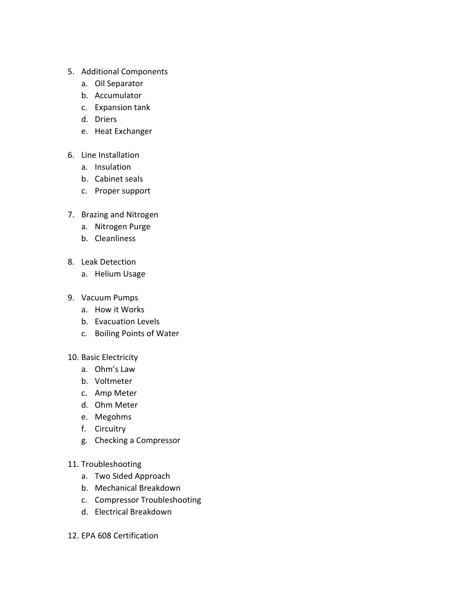- 5. Additional Components
	- a. Oil Separator
	- b. Accumulator
	- c. Expansion tank
	- d. Driers
	- e. Heat Exchanger
- 6. Line Installation
	- a. Insulation
	- b. Cabinet seals
	- c. Proper support
- 7. Brazing and Nitrogen
	- a. Nitrogen Purge
	- b. Cleanliness
- 8. Leak Detection
	- a. Helium Usage
- 9. Vacuum Pumps
	- a. How it Works
	- b. Evacuation Levels
	- c. Boiling Points of Water
- 10. Basic Electricity
	- a. Ohm's Law
	- b. Voltmeter
	- c. Amp Meter
	- d. Ohm Meter
	- e. Megohms
	- f. Circuitry
	- g. Checking a Compressor
- 11. Troubleshooting
	- a. Two Sided Approach
	- b. Mechanical Breakdown
	- c. Compressor Troubleshooting
	- d. Electrical Breakdown
- 12. EPA 608 Certification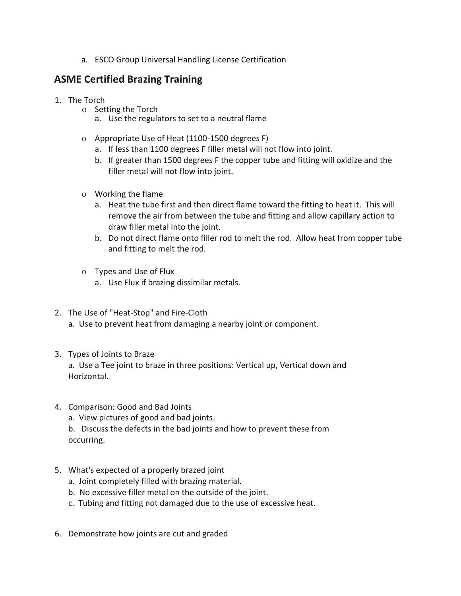a. ESCO Group Universal Handling License Certification

### ASME Certified Brazing Training

- 1. The Torch
	- o Setting the Torch
		- a. Use the regulators to set to a neutral flame
	- Appropriate Use of Heat (1100-1500 degrees F)
		- a. If less than 1100 degrees F filler metal will not flow into joint.
		- b. If greater than 1500 degrees F the copper tube and fitting will oxidize and the filler metal will not flow into joint.
	- Working the flame
		- a. Heat the tube first and then direct flame toward the fitting to heat it. This will remove the air from between the tube and fitting and allow capillary action to draw filler metal into the joint.
		- b. Do not direct flame onto filler rod to melt the rod. Allow heat from copper tube and fitting to melt the rod.
	- Types and Use of Flux
		- a. Use Flux if brazing dissimilar metals.
- 2. The Use of "Heat-Stop" and Fire-Cloth
	- a. Use to prevent heat from damaging a nearby joint or component.
- 3. Types of Joints to Braze a. Use a Tee joint to braze in three positions: Vertical up, Vertical down and Horizontal.
- 4. Comparison: Good and Bad Joints
	- a. View pictures of good and bad joints.

b. Discuss the defects in the bad joints and how to prevent these from occurring.

- 5. What's expected of a properly brazed joint
	- a. Joint completely filled with brazing material.
	- b. No excessive filler metal on the outside of the joint.
	- c. Tubing and fitting not damaged due to the use of excessive heat.
- 6. Demonstrate how joints are cut and graded